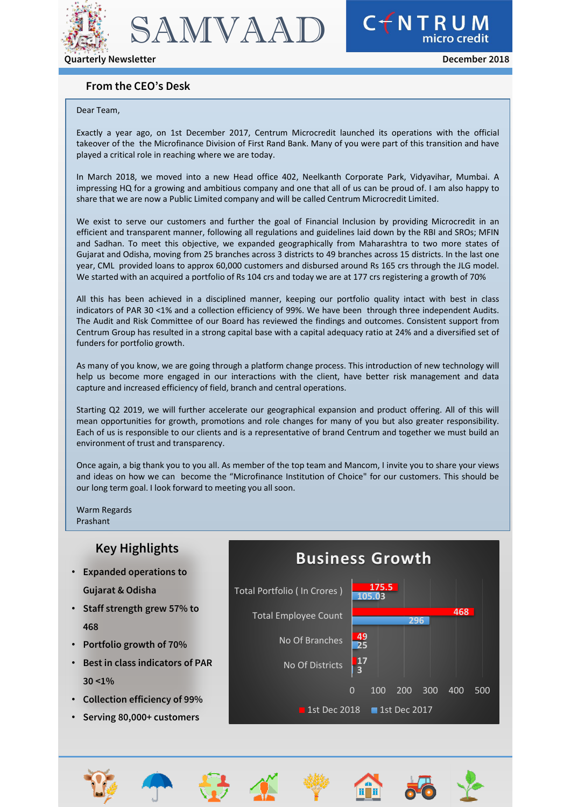

CTNTRUM

## **From the CEO's Desk**

#### Dear Team,

Exactly a year ago, on 1st December 2017, Centrum Microcredit launched its operations with the official takeover of the the Microfinance Division of First Rand Bank. Many of you were part of this transition and have played a critical role in reaching where we are today.

In March 2018, we moved into a new Head office 402, Neelkanth Corporate Park, Vidyavihar, Mumbai. A impressing HQ for a growing and ambitious company and one that all of us can be proud of. I am also happy to share that we are now a Public Limited company and will be called Centrum Microcredit Limited.

We exist to serve our customers and further the goal of Financial Inclusion by providing Microcredit in an efficient and transparent manner, following all regulations and guidelines laid down by the RBI and SROs; MFIN and Sadhan. To meet this objective, we expanded geographically from Maharashtra to two more states of Gujarat and Odisha, moving from 25 branches across 3 districts to 49 branches across 15 districts. In the last one year, CML provided loans to approx 60,000 customers and disbursed around Rs 165 crs through the JLG model. We started with an acquired a portfolio of Rs 104 crs and today we are at 177 crs registering a growth of 70%

All this has been achieved in a disciplined manner, keeping our portfolio quality intact with best in class indicators of PAR 30 <1% and a collection efficiency of 99%. We have been through three independent Audits. The Audit and Risk Committee of our Board has reviewed the findings and outcomes. Consistent support from Centrum Group has resulted in a strong capital base with a capital adequacy ratio at 24% and a diversified set of funders for portfolio growth.

As many of you know, we are going through a platform change process. This introduction of new technology will help us become more engaged in our interactions with the client, have better risk management and data capture and increased efficiency of field, branch and central operations.

Starting Q2 2019, we will further accelerate our geographical expansion and product offering. All of this will mean opportunities for growth, promotions and role changes for many of you but also greater responsibility. Each of us is responsible to our clients and is a representative of brand Centrum and together we must build an environment of trust and transparency.

Once again, a big thank you to you all. As member of the top team and Mancom, I invite you to share your views and ideas on how we can become the "Microfinance Institution of Choice" for our customers. This should be our long term goal. I look forward to meeting you all soon.

Warm Regards Prashant

# **Key Highlights**

- **Expanded operations to Gujarat & Odisha**
- **Staff strength grew 57% to 468**
- **Portfolio growth of 70%**
- **Best in class indicators of PAR 30 <1%**
- **Collection efficiency of 99%**
- **Serving 80,000+ customers**